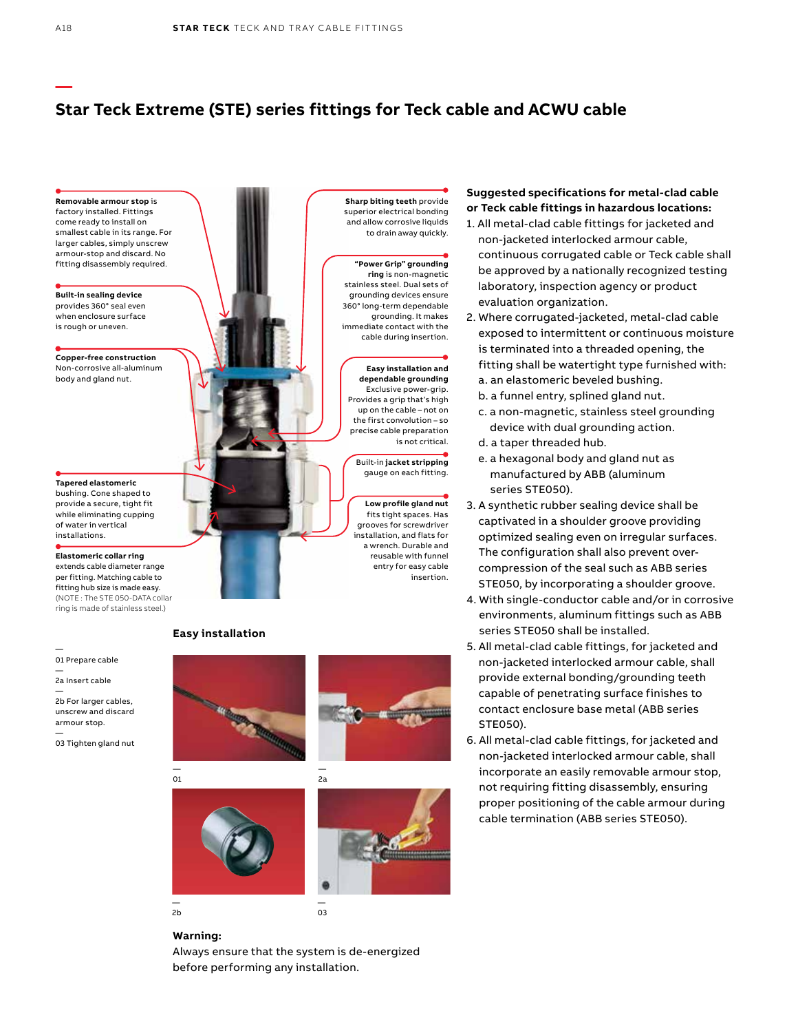## **Star Teck Extreme (STE) series fittings for Teck cable and ACWU cable**



### **Suggested specifications for metal-clad cable or Teck cable fittings in hazardous locations:**

- 1. All metal-clad cable fittings for jacketed and non-jacketed interlocked armour cable, continuous corrugated cable or Teck cable shall be approved by a nationally recognized testing laboratory, inspection agency or product evaluation organization.
- 2. Where corrugated-jacketed, metal-clad cable exposed to intermittent or continuous moisture is terminated into a threaded opening, the fitting shall be watertight type furnished with: a. an elastomeric beveled bushing.
	- b. a funnel entry, splined gland nut.
	- c. a non-magnetic, stainless steel grounding device with dual grounding action.
	- d. a taper threaded hub.
	- e. a hexagonal body and gland nut as manufactured by ABB (aluminum series STE050).
- 3. A synthetic rubber sealing device shall be captivated in a shoulder groove providing optimized sealing even on irregular surfaces. The configuration shall also prevent overcompression of the seal such as ABB series STE050, by incorporating a shoulder groove.
- 4. With single-conductor cable and/or in corrosive environments, aluminum fittings such as ABB series STE050 shall be installed.
- 5. All metal-clad cable fittings, for jacketed and non-jacketed interlocked armour cable, shall provide external bonding/grounding teeth capable of penetrating surface finishes to contact enclosure base metal (ABB series STE050).
- 6. All metal-clad cable fittings, for jacketed and non-jacketed interlocked armour cable, shall incorporate an easily removable armour stop, not requiring fitting disassembly, ensuring proper positioning of the cable armour during cable termination (ABB series STE050).

— 2b



— 03

**—**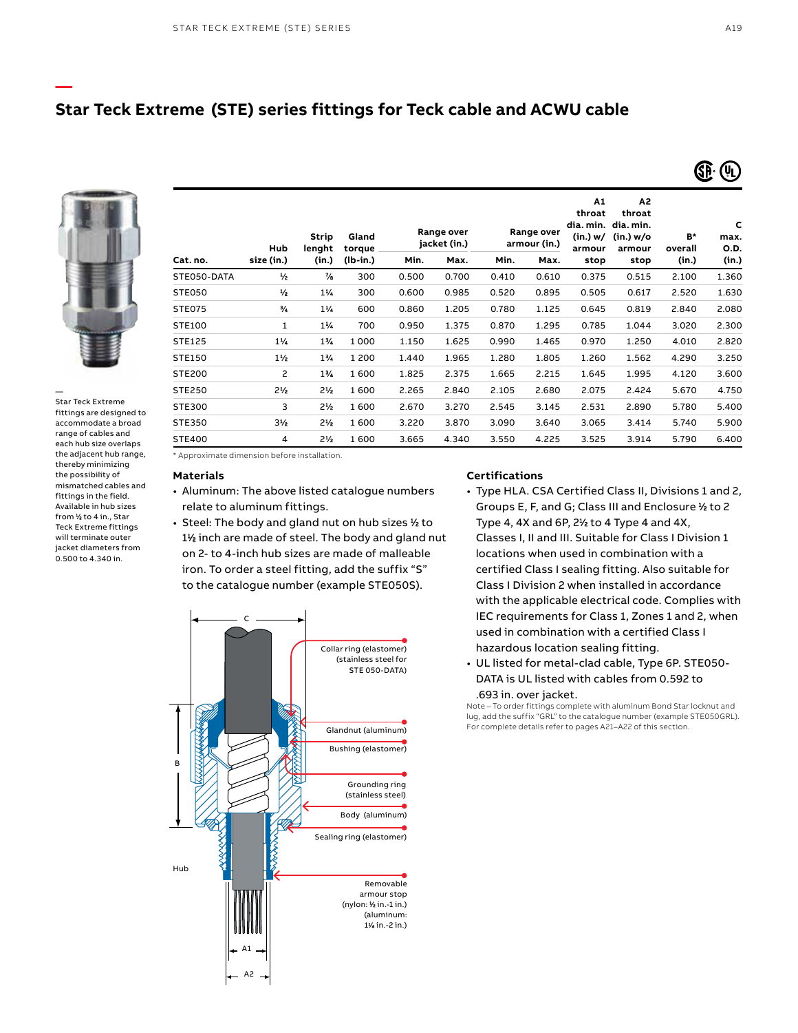### **Star Teck Extreme (STE) series fittings for Teck cable and ACWU cable**



**—**

— Star Teck Extreme fittings are designed to accommodate a broad range of cables and each hub size overlaps the adjacent hub range, thereby minimizing the possibility of mismatched cables and fittings in the field. Available in hub sizes from 1 ⁄2 to 4 in., Star Teck Extreme fittings will terminate outer jacket diameters from 0.500 to 4.340 in.

| Cat. no.      | Hub<br>size (in.) | <b>Strip</b><br>lenght<br>(in.) | Gland<br>torque<br>$(lb-in.)$ | Range over<br>jacket (in.) |       | Range over<br>armour (in.) |       | A1<br>throat<br>(in.) w/<br>armour | A2<br>throat<br>dia. min. dia. min.<br>(in.) w/o<br>armour | B*<br>overall | c<br>max.<br>O.D. |
|---------------|-------------------|---------------------------------|-------------------------------|----------------------------|-------|----------------------------|-------|------------------------------------|------------------------------------------------------------|---------------|-------------------|
|               |                   |                                 |                               | Min.                       | Max.  | Min.                       | Max.  | stop                               | stop                                                       | (in.)         | (in.)             |
| STE050-DATA   | $\frac{1}{2}$     | $\frac{7}{6}$                   | 300                           | 0.500                      | 0.700 | 0.410                      | 0.610 | 0.375                              | 0.515                                                      | 2.100         | 1.360             |
| STE050        | $\frac{1}{2}$     | $1\frac{1}{4}$                  | 300                           | 0.600                      | 0.985 | 0.520                      | 0.895 | 0.505                              | 0.617                                                      | 2.520         | 1.630             |
| <b>STE075</b> | ₩                 | $1\%$                           | 600                           | 0.860                      | 1.205 | 0.780                      | 1.125 | 0.645                              | 0.819                                                      | 2.840         | 2.080             |
| STE100        | $\mathbf{1}$      | $1\frac{1}{2}$                  | 700                           | 0.950                      | 1.375 | 0.870                      | 1.295 | 0.785                              | 1.044                                                      | 3.020         | 2.300             |
| STE125        | $1\frac{1}{4}$    | $1\frac{1}{4}$                  | 1000                          | 1.150                      | 1.625 | 0.990                      | 1.465 | 0.970                              | 1.250                                                      | 4.010         | 2.820             |
| STE150        | $1\frac{1}{2}$    | $1\%$                           | 1 2 0 0                       | 1.440                      | 1.965 | 1.280                      | 1.805 | 1.260                              | 1.562                                                      | 4.290         | 3.250             |
| STE200        | 2                 | $1\%$                           | 1600                          | 1.825                      | 2.375 | 1.665                      | 2.215 | 1.645                              | 1.995                                                      | 4.120         | 3.600             |
| STE250        | $2\frac{1}{2}$    | $2\frac{1}{2}$                  | 1600                          | 2.265                      | 2.840 | 2.105                      | 2.680 | 2.075                              | 2.424                                                      | 5.670         | 4.750             |
| STE300        | 3                 | $2\frac{1}{2}$                  | 1600                          | 2.670                      | 3.270 | 2.545                      | 3.145 | 2.531                              | 2.890                                                      | 5.780         | 5.400             |
| STE350        | $3\frac{1}{2}$    | $2\frac{1}{2}$                  | 1600                          | 3.220                      | 3.870 | 3.090                      | 3.640 | 3.065                              | 3.414                                                      | 5.740         | 5.900             |
| <b>STE400</b> | 4                 | $2\frac{1}{2}$                  | 1600                          | 3.665                      | 4.340 | 3.550                      | 4.225 | 3.525                              | 3.914                                                      | 5.790         | 6.400             |

\* Approximate dimension before installation.

#### **Materials**

- Aluminum: The above listed catalogue numbers relate to aluminum fittings.
- Steel: The body and gland nut on hub sizes 1 ⁄2 to 11 ⁄2 inch are made of steel. The body and gland nut on 2- to 4-inch hub sizes are made of malleable iron. To order a steel fitting, add the suffix "S" to the catalogue number (example STE050S).



#### **Certifications**

- Type HLA. CSA Certified Class II, Divisions 1 and 2, Groups E, F, and G; Class III and Enclosure 1 ⁄2 to 2 Type 4, 4X and 6P, 21 ⁄2 to 4 Type 4 and 4X, Classes I, II and III. Suitable for Class I Division 1 locations when used in combination with a certified Class I sealing fitting. Also suitable for Class I Division 2 when installed in accordance with the applicable electrical code. Complies with IEC requirements for Class 1, Zones 1 and 2, when used in combination with a certified Class I hazardous location sealing fitting.
- UL listed for metal-clad cable, Type 6P. STE050- DATA is UL listed with cables from 0.592 to .693 in. over jacket.

Note – To order fittings complete with aluminum Bond Star locknut and lug, add the suffix "GRL" to the catalogue number (example STE050GRL). For complete details refer to pages A21–A22 of this section.